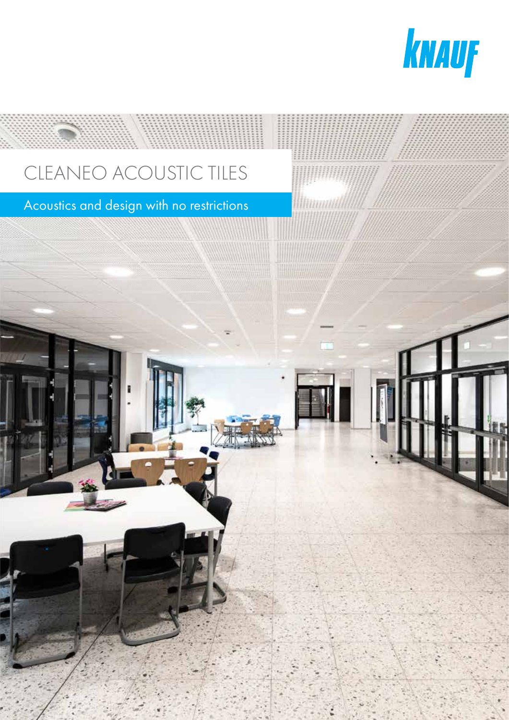

# CLEANEO ACOUSTIC TILES

## Acoustics and design with no restrictions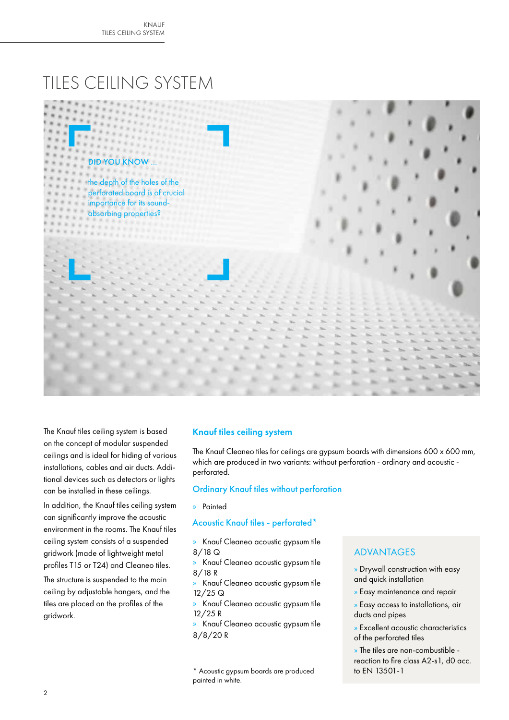## TILES CEILING SYSTEM



The Knauf tiles ceiling system is based on the concept of modular suspended ceilings and is ideal for hiding of various installations, cables and air ducts. Additional devices such as detectors or lights can be installed in these ceilings.

In addition, the Knauf tiles ceiling system can significantly improve the acoustic environment in the rooms. The Knauf tiles ceiling system consists of a suspended gridwork (made of lightweight metal profiles T15 or T24) and Cleaneo tiles.

The structure is suspended to the main ceiling by adjustable hangers, and the tiles are placed on the profiles of the gridwork.

#### Knauf tiles ceiling system

The Knauf Cleaneo tiles for ceilings are gypsum boards with dimensions 600 x 600 mm, which are produced in two variants: without perforation - ordinary and acoustic perforated.

#### Ordinary Knauf tiles without perforation

» Painted

#### Acoustic Knauf tiles - perforated\*

- » Knauf Cleaneo acoustic gypsum tile 8/18 Q
- » Knauf Cleaneo acoustic gypsum tile 8/18 R
- » Knauf Cleaneo acoustic gypsum tile 12/25 Q
- » Knauf Cleaneo acoustic gypsum tile 12/25 R
- » Knauf Cleaneo acoustic gypsum tile 8/8/20 R

\* Acoustic gypsum boards are produced painted in white.

#### ADVANTAGES

- » Drywall construction with easy and quick installation
- » Easy maintenance and repair
- » Easy access to installations, air ducts and pipes
- » Excellent acoustic characteristics of the perforated tiles
- » The tiles are non-combustible reaction to fire class A2-s1, d0 acc. to EN 13501-1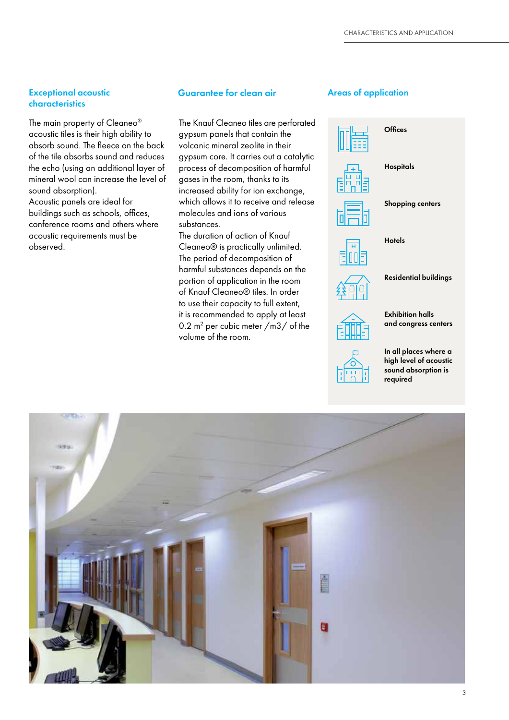## characteristics

The main property of Cleaneo® acoustic tiles is their high ability to absorb sound. The fleece on the back of the tile absorbs sound and reduces the echo (using an additional layer of mineral wool can increase the level of sound absorption). Acoustic panels are ideal for

buildings such as schools, offices, conference rooms and others where acoustic requirements must be observed.

#### Exceptional acoustic **Areas of application** Guarantee for clean air **Areas of application**

The Knauf Cleaneo tiles are perforated gypsum panels that contain the volcanic mineral zeolite in their gypsum core. It carries out a catalytic process of decomposition of harmful gases in the room, thanks to its increased ability for ion exchange, which allows it to receive and release molecules and ions of various substances.

The duration of action of Knauf Cleaneo® is practically unlimited. The period of decomposition of harmful substances depends on the portion of application in the room of Knauf Cleaneo® tiles. In order to use their capacity to full extent, it is recommended to apply at least 0.2  $m^2$  per cubic meter /m3/ of the volume of the room.



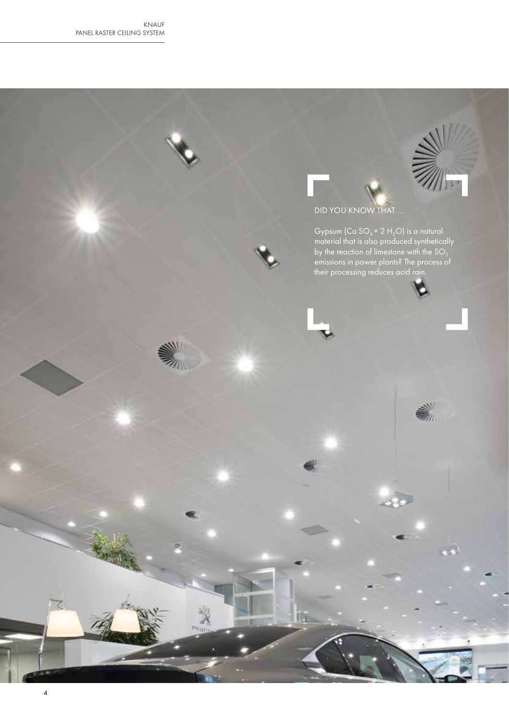

泇

2

 $Cr-$ 

### DID YOU KNOW THAT …

Gypsum (Ca SO<sub>4</sub> + 2 H<sub>2</sub>O) is a natural material that is also produced synthetically by the reaction of limestone with the SO $_{\rm 2}$ emissions in power plants? The process of their processing reduces acid rain.

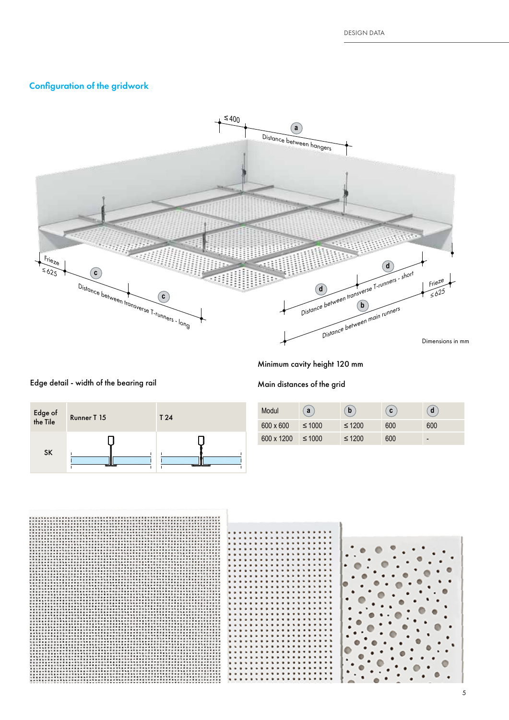#### Configuration of the gridwork



Minimum cavity height 120 mm

#### Main distances of the grid



| Modul      | a           | b           | C   | d                        |
|------------|-------------|-------------|-----|--------------------------|
| 600 x 600  | $\leq 1000$ | $\leq 1200$ | 600 | 600                      |
| 600 x 1200 | $\leq 1000$ | $\leq 1200$ | 600 | $\overline{\phantom{0}}$ |



## Edge detail - width of the bearing rail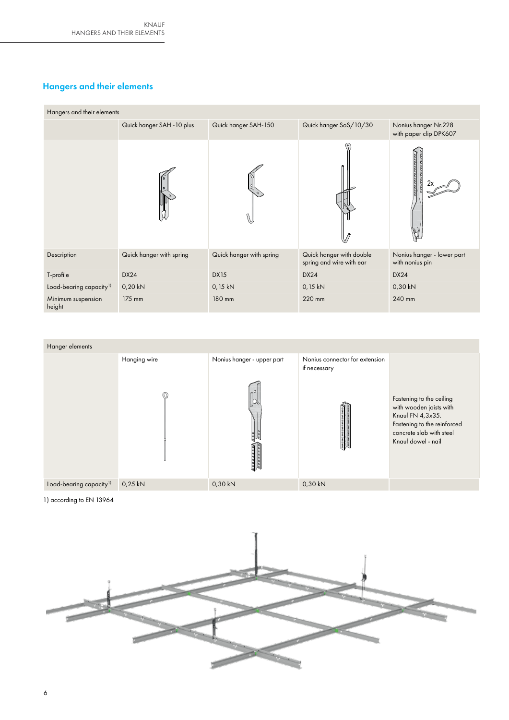#### Hangers and their elements

| Hangers and their elements          |                            |                          |                                                      |                                                |  |  |  |
|-------------------------------------|----------------------------|--------------------------|------------------------------------------------------|------------------------------------------------|--|--|--|
|                                     | Quick hanger SAH - 10 plus | Quick hanger SAH-150     | Quick hanger SoS/10/30                               | Nonius hanger Nr.228<br>with paper clip DPK607 |  |  |  |
|                                     |                            |                          |                                                      | 2)                                             |  |  |  |
| Description                         | Quick hanger with spring   | Quick hanger with spring | Quick hanger with double<br>spring and wire with ear | Nonius hanger - lower part<br>with nonius pin  |  |  |  |
| T-profile                           | <b>DX24</b>                | <b>DX15</b>              | <b>DX24</b>                                          | <b>DX24</b>                                    |  |  |  |
| Load-bearing capacity <sup>1)</sup> | 0,20 kN                    | 0,15 kN                  | 0,15 kN                                              | 0,30 kN                                        |  |  |  |
| Minimum suspension<br>height        | 175 mm                     | 180 mm                   | 220 mm                                               | 240 mm                                         |  |  |  |



1) according to EN 13964

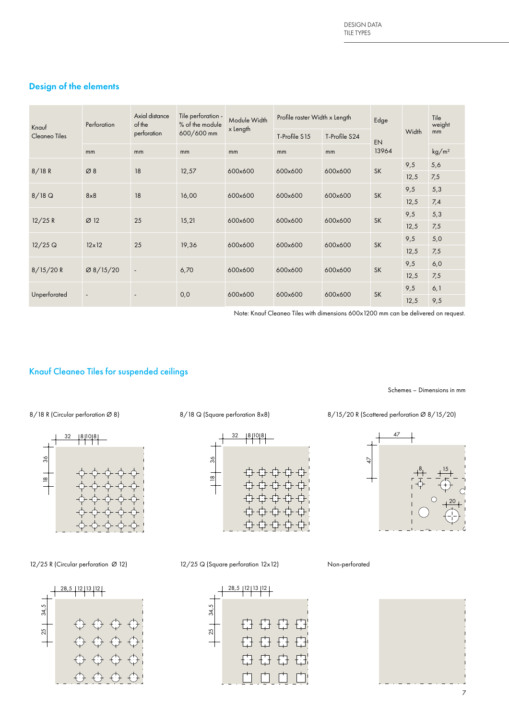#### Design of the elements

| Knauf<br>Cleaneo Tiles | Axial distance<br>Tile perforation -<br>Module Width<br>of the<br>% of the module<br>Perforation<br>x Length<br>600/600 mm<br>perforation |                                       | Profile raster Width x Length<br>T-Profile S15<br>T-Profile S24 |         | Edge    | Width   | Tile<br>weight<br>mm |      |                   |
|------------------------|-------------------------------------------------------------------------------------------------------------------------------------------|---------------------------------------|-----------------------------------------------------------------|---------|---------|---------|----------------------|------|-------------------|
|                        | mm                                                                                                                                        | mm                                    | mm                                                              | mm      | mm      | mm      | EN<br>13964          |      | kg/m <sup>2</sup> |
|                        | Ø8                                                                                                                                        | 18                                    | 12,57                                                           | 600x600 | 600x600 | 600x600 | <b>SK</b>            | 9,5  | 5,6               |
| 8/18R                  |                                                                                                                                           |                                       |                                                                 |         |         |         |                      | 12,5 | 7,5               |
|                        | 8x8                                                                                                                                       | 18                                    | 16,00                                                           | 600x600 | 600x600 | 600x600 | <b>SK</b>            | 9,5  | 5,3               |
| $8/18$ Q               |                                                                                                                                           |                                       |                                                                 |         |         |         |                      | 12,5 | 7,4               |
|                        | Ø12                                                                                                                                       | 25                                    |                                                                 |         | 600x600 | 600x600 | <b>SK</b>            | 9,5  | 5,3               |
| 12/25 R                |                                                                                                                                           |                                       | 15,21                                                           | 600x600 |         |         |                      | 12,5 | 7,5               |
| $12/25$ Q              | $12 \times 12$                                                                                                                            | 25                                    |                                                                 | 600x600 | 600x600 | 600x600 | <b>SK</b>            | 9,5  | 5,0               |
|                        |                                                                                                                                           |                                       | 19,36                                                           |         |         |         |                      | 12,5 | 7,5               |
|                        |                                                                                                                                           | Ø 8/15/20<br>$\overline{\phantom{a}}$ | 6,70                                                            | 600x600 |         | 600x600 | <b>SK</b>            | 9,5  | 6,0               |
| 8/15/20 R              |                                                                                                                                           |                                       |                                                                 |         | 600x600 |         |                      | 12,5 | 7,5               |
|                        |                                                                                                                                           |                                       |                                                                 |         |         |         |                      | 9,5  | 6,1               |
| Unperforated           | $\overline{\phantom{a}}$                                                                                                                  |                                       | 0,0                                                             | 600x600 | 600x600 | 600x600 | <b>SK</b>            | 12,5 | 9,5               |

Note: Knauf Cleaneo Tiles with dimensions 600x1200 mm can be delivered on request.

#### Knauf Cleaneo Tiles for suspended ceilings



12/25 R (Circular perforation Ø 12) 12/25 Q (Square perforation 12х12) Non-perforated





47 47  $8_1 \t15$ 20





Schemes – Dimensions in mm

8/18 Q (Square perforation 8x8) 8/15/20 R (Scattered perforation 8x8) 8/15/20 R (Scattered perforation  $\emptyset$  8/15/20)

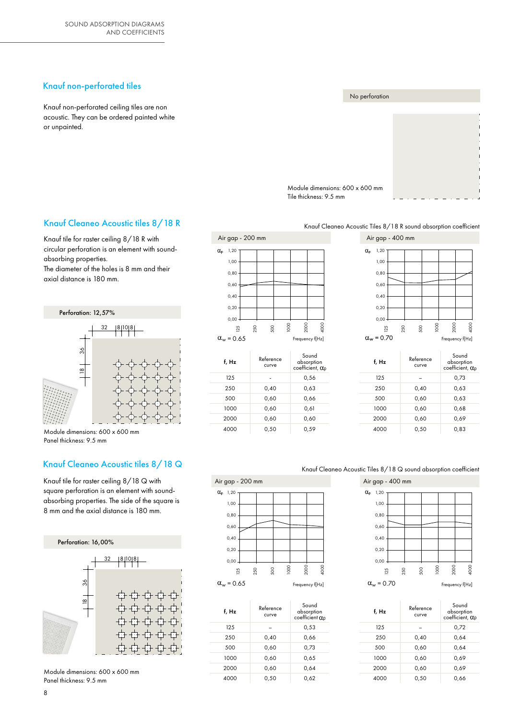#### Knauf non-perforated tiles

Knauf non-perforated ceiling tiles are non acoustic. They can be ordered painted white or unpainted.

# No perforation Module dimensions: 600 x 600 mm

Tile thickness: 9.5 mm

#### Knauf Cleaneo Acoustic Tiles 8/18 R sound absorption coefficient

#### Knauf Cleaneo Acoustic tiles 8/18 R

Knauf tile for raster ceiling 8/18 R with circular perforation is an element with soundabsorbing properties.

The diameter of the holes is 8 mm and their axial distance is 180 mm.



Module dimensions: 600 x 600 mm Panel thickness: 9.5 mm

#### Knauf Cleaneo Acoustic tiles 8/18 Q

Knauf tile for raster ceiling 8/18 Q with square perforation is an element with soundabsorbing properties. The side of the square is 8 mm and the axial distance is 180 mm.



Module dimensions: 600 x 600 mm Panel thickness: 9.5 mm



| $_{\rm w}$ = 0.65 |                    | Frequency f[Hz]                                |  |  |  |
|-------------------|--------------------|------------------------------------------------|--|--|--|
| f, Hz             | Reference<br>curve | Sound<br>absorption<br>coefficient, $\alpha_p$ |  |  |  |
| 125               |                    | 0,56                                           |  |  |  |
| 250               | 0,40               | 0,63                                           |  |  |  |
| 500               | 0,60               | 0,66                                           |  |  |  |
| 1000              | 0,60               | 0,61                                           |  |  |  |
| 2000              | 0,60               | 0,60                                           |  |  |  |
| 4000              | 0,50               | 0,59                                           |  |  |  |

![](_page_7_Figure_17.jpeg)

![](_page_7_Figure_18.jpeg)

#### Knauf Cleaneo Acoustic Tiles 8/18 Q sound absorption coefficient

![](_page_7_Figure_20.jpeg)

![](_page_7_Figure_21.jpeg)

![](_page_7_Figure_22.jpeg)

| f, Hz | Reference<br>curve | Sound<br>absorption<br>coefficient, $\alpha_p$ |
|-------|--------------------|------------------------------------------------|
| 125   |                    | 0,72                                           |
| 250   | 0,40               | 0,64                                           |
| 500   | 0,60               | 0,64                                           |
| 1000  | 0,60               | 0,69                                           |
| 2000  | 0,60               | 0,69                                           |
| 4000  | 0,50               | 0,66                                           |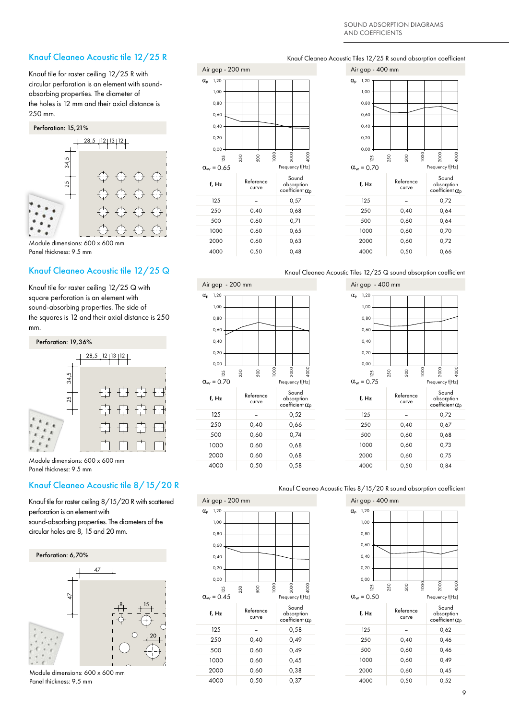#### Knauf Cleaneo Acoustic tile 12/25 R

Knauf tile for raster ceiling 12/25 R with circular perforation is an element with soundabsorbing properties. The diameter of the holes is 12 mm and their axial distance is 250 mm.

![](_page_8_Figure_3.jpeg)

Module dimensions: 600 x 600 mm Panel thickness: 9.5 mm

Knauf tile for raster ceiling 12/25 Q with square perforation is an element with sound-absorbing properties. The side of the squares is 12 and their axial distance is 250 mm.

![](_page_8_Figure_7.jpeg)

Module dimensions: 600 x 600 mm Panel thickness: 9.5 mm

#### Knauf Cleaneo Acoustic tile 8/15/20 R

Knauf tile for raster ceiling 8/15/20 R with scattered perforation is an element with

sound-absorbing properties. The diameters of the circular holes are 8, 15 and 20 mm.

![](_page_8_Figure_12.jpeg)

Module dimensions: 600 x 600 mm Panel thickness: 9.5 mm

![](_page_8_Figure_14.jpeg)

#### Air gap - 200 mm Air gap - 400 mm f, Hz Reference curve Sound absorption<br>coefficient  $\alpha_p$  $125$  – 0,52 250 0,40 0,66 500 0,60 0,74 1000 0,60 0,68  $\alpha_{w} = 0.70$  $\alpha_{\rm p}$  1,20 1,00 0,80 0,60 0,40 0,20  $0.00$ 125 250 500 1000 2000 4000

#### Knauf Cleaneo Acoustic Tiles 12/25 R sound absorption coefficient

| Air gap - 400 mm                     |                    |                                               |  |  |  |  |  |
|--------------------------------------|--------------------|-----------------------------------------------|--|--|--|--|--|
| $\alpha_{\rm p}$<br>1,20             |                    |                                               |  |  |  |  |  |
| 1,00                                 |                    |                                               |  |  |  |  |  |
| 0,80                                 |                    |                                               |  |  |  |  |  |
| 0,60                                 |                    |                                               |  |  |  |  |  |
| 0,40                                 |                    |                                               |  |  |  |  |  |
| 0,20                                 |                    |                                               |  |  |  |  |  |
| 0,00                                 |                    |                                               |  |  |  |  |  |
| 25                                   | 1000<br>250<br>500 | 4000<br>2000                                  |  |  |  |  |  |
| $\alpha_w$ = 0.70<br>Frequency f[Hz] |                    |                                               |  |  |  |  |  |
|                                      |                    |                                               |  |  |  |  |  |
| f, Hz                                | Reference<br>curve | Sound<br>absorption<br>coefficient $\alpha_p$ |  |  |  |  |  |
| 125                                  |                    | 0,72                                          |  |  |  |  |  |
| 250                                  | 0,40               | 0,64                                          |  |  |  |  |  |
| 500                                  | 0,60               | 0,64                                          |  |  |  |  |  |
| 1000                                 | 0,60               | 0,70                                          |  |  |  |  |  |
| 2000                                 | 0,60               | 0,72                                          |  |  |  |  |  |

#### Knauf Cleaneo Acoustic Tiles 12/25 Q sound absorption coefficient

![](_page_8_Figure_19.jpeg)

![](_page_8_Figure_20.jpeg)

#### Knauf Cleaneo Acoustic Tiles 8/15/20 R sound absorption coefficient

| Air gap - 200 mm         |                    |                                               | Air gap - 400 mm         |              |
|--------------------------|--------------------|-----------------------------------------------|--------------------------|--------------|
| $\alpha_{\rm p}$<br>1,20 |                    |                                               | 1,20<br>$\alpha_{\rm p}$ |              |
| 1,00                     |                    |                                               | 1,00                     |              |
| 0,80                     |                    |                                               | 0,80                     |              |
| 0,60                     |                    |                                               | 0,60                     |              |
| 0,40                     |                    |                                               | 0,40                     |              |
| 0,20                     |                    |                                               | 0,20                     |              |
| 0,00                     |                    |                                               | 0,00                     |              |
| 125                      | 500<br>250         | 4000<br>1000<br>2000                          | <b>25</b>                | 250          |
| $\alpha_w = 0.45$        |                    | Frequency f[Hz]                               | $\alpha_w = 0.50$        |              |
| f, Hz                    | Reference<br>curve | Sound<br>absorption<br>coefficient $\alpha_p$ | f, Hz                    | $\mathsf{R}$ |
| 125                      |                    | 0,58                                          | 125                      |              |
| 250                      | 0,40               | 0,49                                          | 250                      |              |
| 500                      | 0,60               | 0,49                                          | 500                      |              |
| 1000                     | 0,60               | 0,45                                          | 1000                     |              |
| 2000                     | 0,60               | 0,38                                          | 2000                     |              |
| 4000                     | 0,50               | 0,37                                          | 4000                     |              |

|                                               | Air gap - 400 mm         |     |                    |      |                 |                                               |  |
|-----------------------------------------------|--------------------------|-----|--------------------|------|-----------------|-----------------------------------------------|--|
|                                               | 1,20<br>$\alpha_{\rm p}$ |     |                    |      |                 |                                               |  |
|                                               | 1,00                     |     |                    |      |                 |                                               |  |
|                                               | 0,80                     |     |                    |      |                 |                                               |  |
|                                               | 0,60                     |     |                    |      |                 |                                               |  |
|                                               | 0,40                     |     |                    |      |                 |                                               |  |
|                                               |                          |     |                    |      |                 |                                               |  |
|                                               | 0,20                     |     |                    |      |                 |                                               |  |
|                                               | 0,00                     |     |                    |      |                 |                                               |  |
| 2000<br>4000                                  | <b>25</b>                | 250 | 500                | 1000 | 2000            | 4000                                          |  |
| Frequency f[Hz]                               | $\alpha_w = 0.50$        |     |                    |      | Frequency f[Hz] |                                               |  |
| Sound<br>absorption<br>coefficient $\alpha_p$ | f, Hz                    |     | Reference<br>curve |      |                 | Sound<br>absorption<br>coefficient $\alpha_p$ |  |
| 0,58                                          | 125                      |     |                    |      |                 | 0,62                                          |  |
| 0,49                                          | 250                      |     | 0,40               |      |                 | 0,46                                          |  |
| 0,49                                          | 500                      |     | 0,60               |      |                 | 0,46                                          |  |
| 0,45                                          | 1000                     |     | 0,60               |      |                 | 0,49                                          |  |
| 0,38                                          | 2000                     |     | 0,60               |      |                 | 0,45                                          |  |
| 0,37                                          | 4000                     |     | 0,50               |      |                 | 0,52                                          |  |
|                                               |                          |     |                    |      |                 |                                               |  |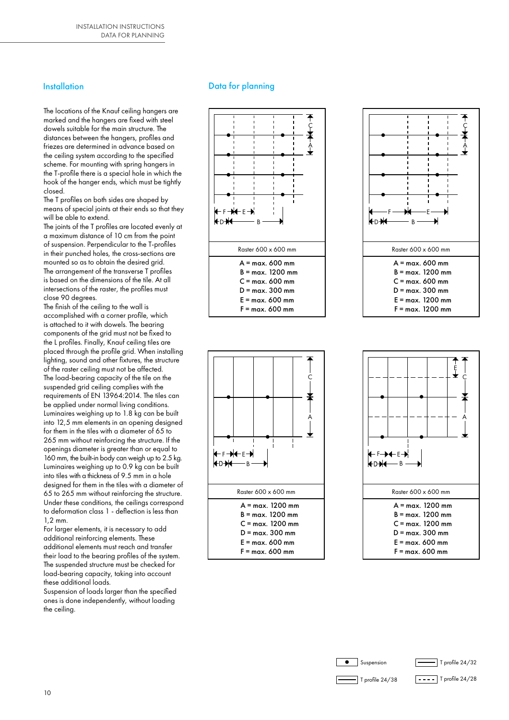#### **Installation**

The locations of the Knauf ceiling hangers are marked and the hangers are fixed with steel dowels suitable for the main structure. The distances between the hangers, profiles and friezes are determined in advance based on the ceiling system according to the specified scheme. For mounting with spring hangers in the T-profile there is a special hole in which the hook of the hanger ends, which must be tightly closed.

The T profiles on both sides are shaped by means of special joints at their ends so that they will be able to extend.

The joints of the T profiles are located evenly at a maximum distance of 10 cm from the point of suspension. Perpendicular to the T-profiles in their punched holes, the cross-sections are mounted so as to obtain the desired grid. The arrangement of the transverse T profiles is based on the dimensions of the tile. At all intersections of the raster, the profiles must close 90 degrees.

The finish of the ceiling to the wall is accomplished with a corner profile, which is attached to it with dowels. The bearing components of the grid must not be fixed to the L profiles. Finally, Knauf ceiling tiles are placed through the profile grid. When installing lighting, sound and other fixtures, the structure of the raster ceiling must not be affected. The load-bearing capacity of the tile on the suspended grid ceiling complies with the requirements of EN 13964:2014. The tiles can be applied under normal living conditions. Luminaires weighing up to 1.8 kg can be built into 12,5 mm elements in an opening designed for them in the tiles with a diameter of 65 to 265 mm without reinforcing the structure. If the openings diameter is greater than or equal to 160 mm, the built-in body can weigh up to 2.5 kg. Luminaires weighing up to 0.9 kg can be built into tiles with a thickness of 9.5 mm in a hole designed for them in the tiles with a diameter of 65 to 265 mm without reinforcing the structure. Under these conditions, the ceilings correspond to deformation class 1 - deflection is less than 1,2 mm.

For larger elements, it is necessary to add additional reinforcing elements. These additional elements must reach and transfer their load to the bearing profiles of the system. The suspended structure must be checked for load-bearing capacity, taking into account these additional loads.

Suspension of loads larger than the specified ones is done independently, without loading the ceiling.

#### Data for planning

![](_page_9_Figure_9.jpeg)

![](_page_9_Figure_10.jpeg)

![](_page_9_Figure_11.jpeg)

![](_page_9_Figure_12.jpeg)

![](_page_9_Figure_13.jpeg)

![](_page_9_Picture_14.jpeg)

![](_page_9_Picture_15.jpeg)

![](_page_9_Picture_16.jpeg)

![](_page_9_Figure_17.jpeg)

 $\equiv$  T profile 24/38

 $\boxed{\text{- - - -}}$  T profile 24/28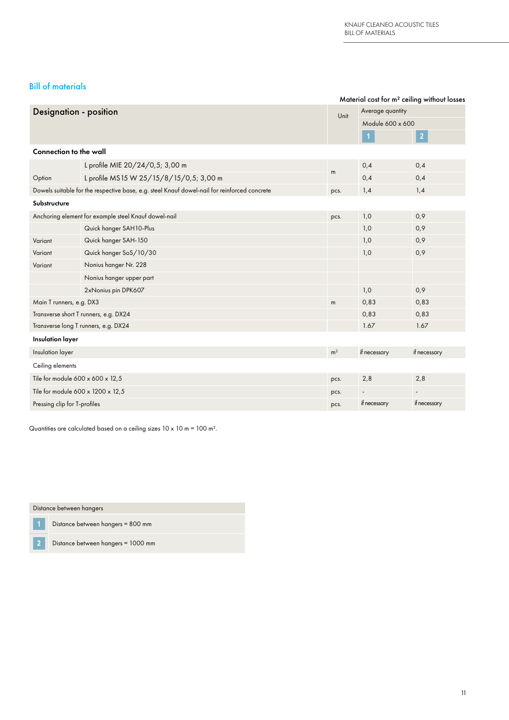#### Bill of materials

| Material cost for m <sup>2</sup> ceiling without losses |                                                                                              |      |                          |                          |  |
|---------------------------------------------------------|----------------------------------------------------------------------------------------------|------|--------------------------|--------------------------|--|
| <b>Designation - position</b>                           |                                                                                              | Unit | Average quantity         |                          |  |
|                                                         |                                                                                              |      | Module 600 x 600         |                          |  |
|                                                         |                                                                                              |      | $\blacktriangleleft$     | $\overline{2}$           |  |
| <b>Connection to the wall</b>                           |                                                                                              |      |                          |                          |  |
|                                                         | L profile MIE 20/24/0,5; 3,00 m                                                              |      | 0,4                      | 0,4                      |  |
| Option                                                  | L profile MS15 W 25/15/8/15/0,5; 3,00 m                                                      | m    | 0,4                      | 0,4                      |  |
|                                                         | Dowels suitable for the respective base, e.g. steel Knauf dowel-nail for reinforced concrete | pcs. | 1,4                      | 1,4                      |  |
| Substructure                                            |                                                                                              |      |                          |                          |  |
|                                                         | Anchoring element for example steel Knauf dowel-nail                                         | pcs. | 1,0                      | 0,9                      |  |
|                                                         | Quick hanger SAH10-Plus                                                                      |      | 1,0                      | 0,9                      |  |
| Variant                                                 | Quick hanger SAH-150                                                                         |      | 1,0                      | 0,9                      |  |
| Variant                                                 | Quick hanger SoS/10/30                                                                       |      | 1,0                      | 0,9                      |  |
| Variant                                                 | Nonius hanger Nr. 228                                                                        |      |                          |                          |  |
|                                                         | Nonius hanger upper part                                                                     |      |                          |                          |  |
|                                                         | 2xNonius pin DPK607                                                                          |      | 1,0                      | 0,9                      |  |
| Main T runners, e.g. DX3                                |                                                                                              | m    | 0,83                     | 0,83                     |  |
|                                                         | Transverse short T runners, e.g. DX24                                                        |      | 0,83                     | 0,83                     |  |
|                                                         | Transverse long T runners, e.g. DX24                                                         |      | 1.67                     | 1.67                     |  |
| <b>Insulation layer</b>                                 |                                                                                              |      |                          |                          |  |
| Insulation layer                                        |                                                                                              |      | if necessary             | if necessary             |  |
| Ceiling elements                                        |                                                                                              |      |                          |                          |  |
| Tile for module 600 x 600 x 12,5                        |                                                                                              | pcs. | 2,8                      | 2,8                      |  |
| Tile for module 600 x 1200 x 12,5                       |                                                                                              | pcs. | $\overline{\phantom{a}}$ | $\overline{\phantom{a}}$ |  |
| Pressing clip for T-profiles                            |                                                                                              | pcs. | if necessary             | if necessary             |  |

Quantities are calculated based on a ceiling sizes 10 x 10 m = 100 m².

Distance between hangers

**1** Distance between hangers = 800 mm

**2** Distance between hangers = 1000 mm